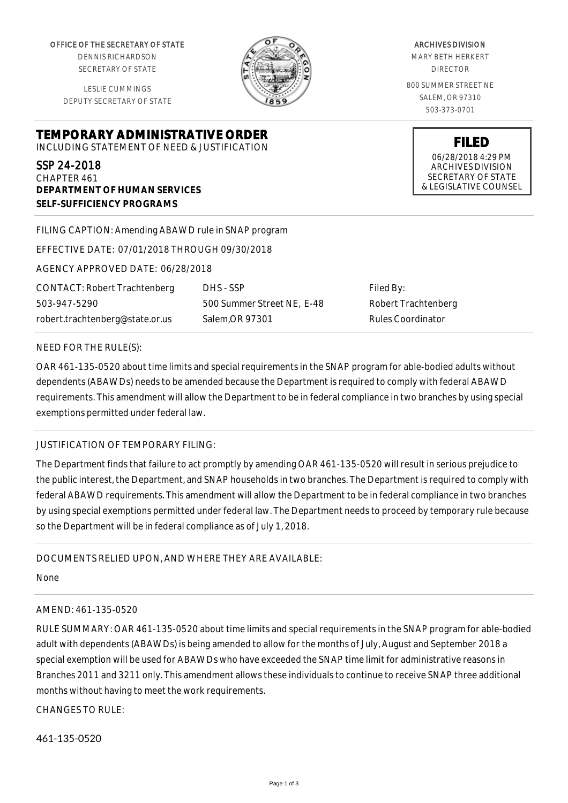OFFICE OF THE SECRETARY OF STATE

DENNIS RICHARDSON SECRETARY OF STATE

LESLIE CUMMINGS DEPUTY SECRETARY OF STATE



ARCHIVES DIVISION MARY BETH HERKERT DIRECTOR 800 SUMMER STREET NE SALEM, OR 97310 503-373-0701

**FILED**

ARCHIVES DIVISION SECRETARY OF STATE & LEGISLATIVE COUNSEL

06/28/2018 4:29 PM

**TEMPORARY ADMINISTRATIVE ORDER** INCLUDING STATEMENT OF NEED & JUSTIFICATION

SSP 24-2018 CHAPTER 461 **DEPARTMENT OF HUMAN SERVICES SELF-SUFFICIENCY PROGRAMS**

FILING CAPTION: Amending ABAWD rule in SNAP program

EFFECTIVE DATE: 07/01/2018 THROUGH 09/30/2018

AGENCY APPROVED DATE: 06/28/2018

CONTACT: Robert Trachtenberg 503-947-5290 robert.trachtenberg@state.or.us

DHS - SSP 500 Summer Street NE, E-48 Salem,OR 97301

Filed By: Robert Trachtenberg Rules Coordinator

## NEED FOR THE RULE(S):

OAR 461-135-0520 about time limits and special requirements in the SNAP program for able-bodied adults without dependents (ABAWDs) needs to be amended because the Department is required to comply with federal ABAWD requirements. This amendment will allow the Department to be in federal compliance in two branches by using special exemptions permitted under federal law.

## JUSTIFICATION OF TEMPORARY FILING:

The Department finds that failure to act promptly by amending OAR 461-135-0520 will result in serious prejudice to the public interest, the Department, and SNAP households in two branches. The Department is required to comply with federal ABAWD requirements. This amendment will allow the Department to be in federal compliance in two branches by using special exemptions permitted under federal law. The Department needs to proceed by temporary rule because so the Department will be in federal compliance as of July 1, 2018.

DOCUMENTS RELIED UPON, AND WHERE THEY ARE AVAILABLE:

None

## AMEND: 461-135-0520

RULE SUMMARY: OAR 461-135-0520 about time limits and special requirements in the SNAP program for able-bodied adult with dependents (ABAWDs) is being amended to allow for the months of July, August and September 2018 a special exemption will be used for ABAWDs who have exceeded the SNAP time limit for administrative reasons in Branches 2011 and 3211 only. This amendment allows these individuals to continue to receive SNAP three additional months without having to meet the work requirements.

CHANGES TO RULE:

461-135-0520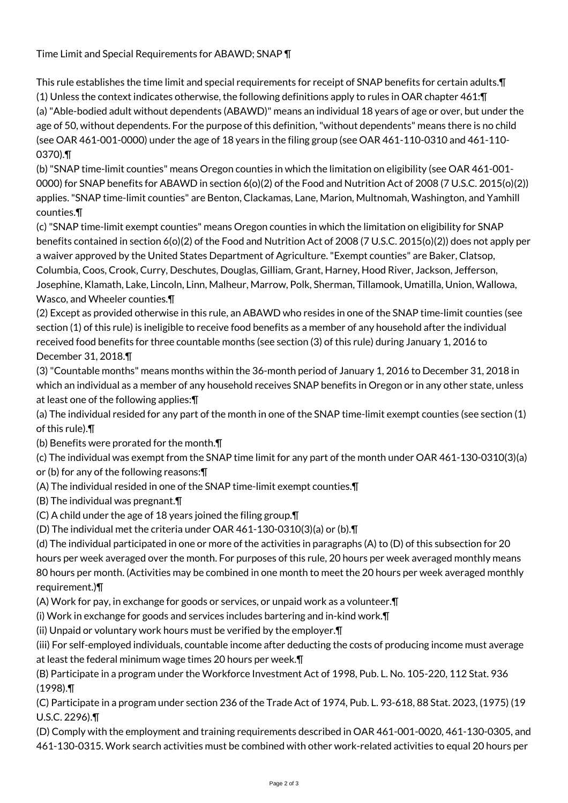Time Limit and Special Requirements for ABAWD; SNAP ¶

This rule establishes the time limit and special requirements for receipt of SNAP benefits for certain adults.¶ (1) Unless the context indicates otherwise, the following definitions apply to rules in OAR chapter 461:¶ (a) "Able-bodied adult without dependents (ABAWD)" means an individual 18 years of age or over, but under the age of 50, without dependents. For the purpose of this definition, "without dependents" means there is no child (see OAR 461-001-0000) under the age of 18 years in the filing group (see OAR 461-110-0310 and 461-110- 0370).¶

(b) "SNAP time-limit counties" means Oregon counties in which the limitation on eligibility (see OAR 461-001- 0000) for SNAP benefits for ABAWD in section 6(o)(2) of the Food and Nutrition Act of 2008 (7 U.S.C. 2015(o)(2)) applies. "SNAP time-limit counties" are Benton, Clackamas, Lane, Marion, Multnomah, Washington, and Yamhill counties.¶

(c) "SNAP time-limit exempt counties" means Oregon counties in which the limitation on eligibility for SNAP benefits contained in section 6(o)(2) of the Food and Nutrition Act of 2008 (7 U.S.C. 2015(o)(2)) does not apply per a waiver approved by the United States Department of Agriculture. "Exempt counties" are Baker, Clatsop, Columbia, Coos, Crook, Curry, Deschutes, Douglas, Gilliam, Grant, Harney, Hood River, Jackson, Jefferson, Josephine, Klamath, Lake, Lincoln, Linn, Malheur, Marrow, Polk, Sherman, Tillamook, Umatilla, Union, Wallowa, Wasco, and Wheeler counties.¶

(2) Except as provided otherwise in this rule, an ABAWD who resides in one of the SNAP time-limit counties (see section (1) of this rule) is ineligible to receive food benefits as a member of any household after the individual received food benefits for three countable months (see section (3) of this rule) during January 1, 2016 to December 31, 2018.¶

(3) "Countable months" means months within the 36-month period of January 1, 2016 to December 31, 2018 in which an individual as a member of any household receives SNAP benefits in Oregon or in any other state, unless at least one of the following applies:¶

(a) The individual resided for any part of the month in one of the SNAP time-limit exempt counties (see section (1) of this rule).¶

(b) Benefits were prorated for the month.¶

(c) The individual was exempt from the SNAP time limit for any part of the month under OAR 461-130-0310(3)(a) or (b) for any of the following reasons:¶

- (A) The individual resided in one of the SNAP time-limit exempt counties.¶
- (B) The individual was pregnant.¶
- (C) A child under the age of 18 years joined the filing group.¶
- (D) The individual met the criteria under OAR 461-130-0310(3)(a) or (b).¶

(d) The individual participated in one or more of the activities in paragraphs (A) to (D) of this subsection for 20 hours per week averaged over the month. For purposes of this rule, 20 hours per week averaged monthly means 80 hours per month. (Activities may be combined in one month to meet the 20 hours per week averaged monthly requirement.)¶

(A) Work for pay, in exchange for goods or services, or unpaid work as a volunteer.¶

(i) Work in exchange for goods and services includes bartering and in-kind work.¶

(ii) Unpaid or voluntary work hours must be verified by the employer.¶

(iii) For self-employed individuals, countable income after deducting the costs of producing income must average at least the federal minimum wage times 20 hours per week.¶

(B) Participate in a program under the Workforce Investment Act of 1998, Pub. L. No. 105-220, 112 Stat. 936 (1998).¶

(C) Participate in a program under section 236 of the Trade Act of 1974, Pub. L. 93-618, 88 Stat. 2023, (1975) (19 U.S.C. 2296).¶

(D) Comply with the employment and training requirements described in OAR 461-001-0020, 461-130-0305, and 461-130-0315. Work search activities must be combined with other work-related activities to equal 20 hours per